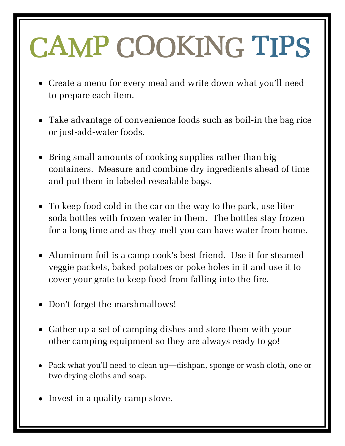## CAMP COOKING TIPS

- Create a menu for every meal and write down what you'll need to prepare each item.
- Take advantage of convenience foods such as boil-in the bag rice or just-add-water foods.
- Bring small amounts of cooking supplies rather than big containers. Measure and combine dry ingredients ahead of time and put them in labeled resealable bags.
- To keep food cold in the car on the way to the park, use liter soda bottles with frozen water in them. The bottles stay frozen for a long time and as they melt you can have water from home.
- Aluminum foil is a camp cook's best friend. Use it for steamed veggie packets, baked potatoes or poke holes in it and use it to cover your grate to keep food from falling into the fire.
- Don't forget the marshmallows!
- Gather up a set of camping dishes and store them with your other camping equipment so they are always ready to go!
- Pack what you'll need to clean up—dishpan, sponge or wash cloth, one or two drying cloths and soap.
- Invest in a quality camp stove.